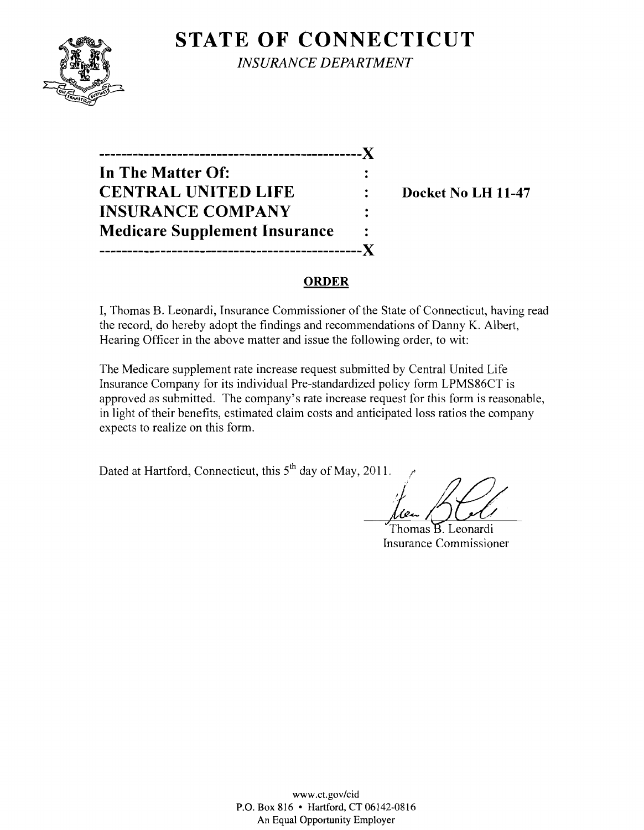## **STATE OF CONNECTICUT**



*INSURANCE DEPARTMENT* 

**-----------------------------------------------)( In The Matter Of: CENTRAL UNITED LIFE : Docket No LH 11-47 INSURANCE COMPANY Medicare Supplement Insurance** ----------------------X

#### **ORDER**

I, Thomas B. Leonardi, Insurance Commissioner of the State of Connecticut, having read the record, do hereby adopt the findings and recommendations of Danny K. Albert, Hearing Officer in the above matter and issue the following order, to wit:

The Medicare supplement rate increase request submitted by Central United Life Insurance Company for its individual Pre-standardized policy form LPMS86CT is approved as submitted. The company's rate increase request for this form is reasonable, in light of their benefits, estimated claim costs and anticipated loss ratios the company expects to realize on this form.

Dated at Hartford, Connecticut, this  $5<sup>th</sup>$  day of May, 2011.

Thomas B. Leonardi Insurance Commissioner

www.ct.gov/cid P.O. Box 816 • Hartford, CT 06142-0816 An Equal Opportunity Employer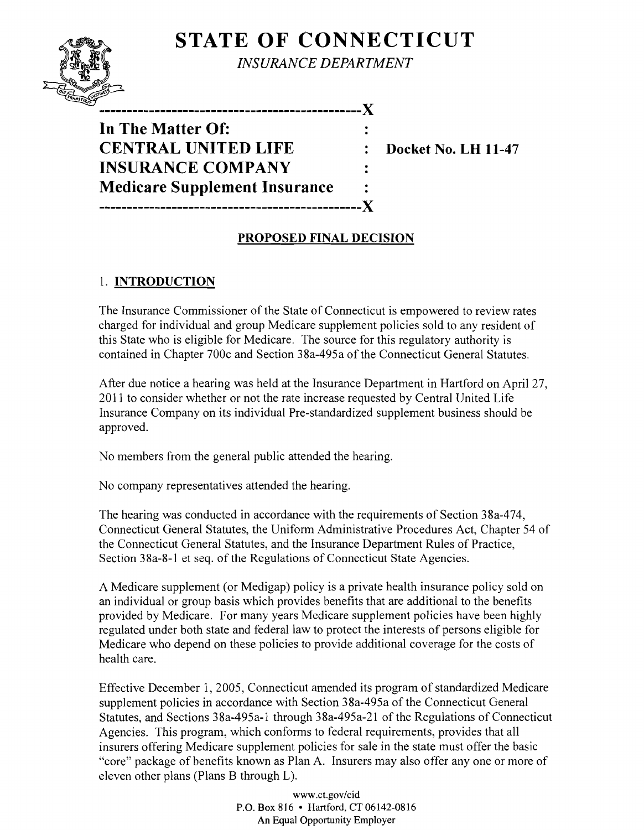# **STATE OF CONNECTICUT**



*INSURANCE DEPARTMENT*

 $\ddot{\cdot}$ 

**In The Matter Of: CENTRAL UNITED LIFE : Docket No. LH 11-47 INSURANCE COMPANY Medicare Supplement Insurance -----------------------------------------------)(** 

**-----------------------------------------------)(** 

### **PROPOSED FINAL DECISION**

### 1. **INTRODUCTION**

The Insurance Commissioner of the State of Connecticut is empowered to review rates charged for individual and group Medicare supplement policies sold to any resident of this State who is eligible for Medicare. The source for this regulatory authority is contained in Chapter 700c and Section 38a-495a of the Connecticut General Statutes.

After due notice a hearing was held at the Insurance Department in Hartford on April 27, 2011 to consider whether or not the rate increase requested by Central United Life Insurance Company on its individual Pre-standardized supplement business should be approved.

No members from the general public attended the hearing.

No company representatives attended the hearing.

The hearing was conducted in accordance with the requirements of Section 38a-474, Connecticut General Statutes, the Uniform Administrative Procedures Act, Chapter 54 of the Connecticut General Statutes, and the Insurance Department Rules of Practice, Section 38a-8-1 et seq. of the Regulations of Connecticut State Agencies.

A Medicare supplement (or Medigap) policy is a private health insurance policy sold on an individual or group basis which provides benefits that are additional to the benefits provided by Medicare. For many years Medicare supplement policies have been highly regulated under both state and federal law to protect the interests of persons eligible for Medicare who depend on these policies to provide additional coverage for the costs of health care.

Effective December 1, 2005, Connecticut amended its program of standardized Medicare supplement policies in accordance with Section 38a-495a of the Connecticut General Statutes, and Sections 38a-495a-1 through 38a-495a-21 of the Regulations of Connecticut Agencies. This program, which conforms to federal requirements, provides that all insurers offering Medicare supplement policies for sale in the state must offer the basic "core" package of benefits known as Plan A. Insurers may also offer anyone or more of eleven other plans (Plans B through L).

> www.ct.gov/cid P.O. Box 816 • Hartford, CT 06142-0816 An Equal Opportunity Employer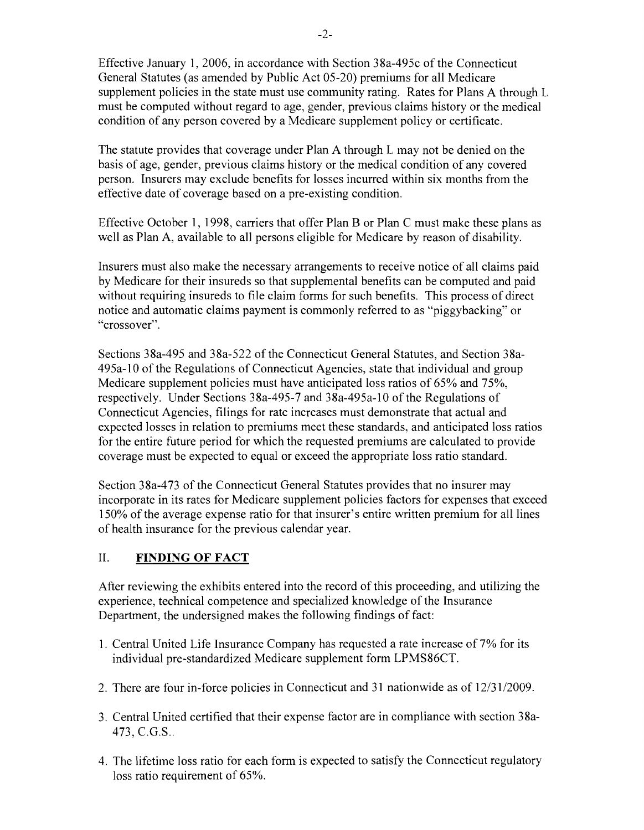Effective January 1,2006, in accordance with Section 38a-495c of the Connecticut General Statutes (as amended by Public Act 05-20) premiums for all Medicare supplement policies in the state must use community rating. Rates for Plans A through L must be computed without regard to age, gender, previous claims history or the medical condition of any person covered by a Medicare supplement policy or certificate.

The statute provides that coverage under Plan A through L may not be denied on the basis of age, gender, previous claims history or the medical condition of any covered person. Insurers may exclude benefits for losses incurred within six months from the effective date of coverage based on a pre-existing condition.

Effective October 1, 1998, carriers that offer Plan B or Plan C must make these plans as well as Plan A, available to all persons eligible for Medicare by reason of disability.

Insurers must also make the necessary arrangements to receive notice of all claims paid by Medicare for their insureds so that supplemental benefits can be computed and paid without requiring insureds to file claim forms for such benefits. This process of direct notice and automatic claims payment is commonly referred to as "piggybacking" or "crossover".

Sections 38a-495 and 38a-522 of the Connecticut General Statutes, and Section 38a-495a-l0 ofthe Regulations of Connecticut Agencies, state that individual and group Medicare supplement policies must have anticipated loss ratios of 65% and 75%, respectively. Under Sections 38a-495-7 and 38a-495a-l0 of the Regulations of Connecticut Agencies, filings for rate increases must demonstrate that actual and expected losses in relation to premiums meet these standards, and anticipated loss ratios for the entire future period for which the requested premiums are calculated to provide coverage must be expected to equal or exceed the appropriate loss ratio standard.

Section 38a-473 of the Connecticut General Statutes provides that no insurer may incorporate in its rates for Medicare supplement policies factors for expenses that exceed 150% of the average expense ratio for that insurer's entire written premium for all lines of health insurance for the previous calendar year.

#### II. **FINDING OF FACT**

After reviewing the exhibits entered into the record of this proceeding, and utilizing the experience, technical competence and specialized knowledge of the Insurance Department, the undersigned makes the following findings of fact:

- 1. Central United Life Insurance Company has requested a rate increase of 7% for its individual pre-standardized Medicare supplement form LPMS86CT.
- 2. There are four in-force policies in Connecticut and 31 nationwide as of  $12/31/2009$ .
- 3. Central United certified that their expense factor are in compliance with section 38a-473, C.G.S..
- 4. The lifetime loss ratio for each form is expected to satisfy the Connecticut regulatory loss ratio requirement of 65%.